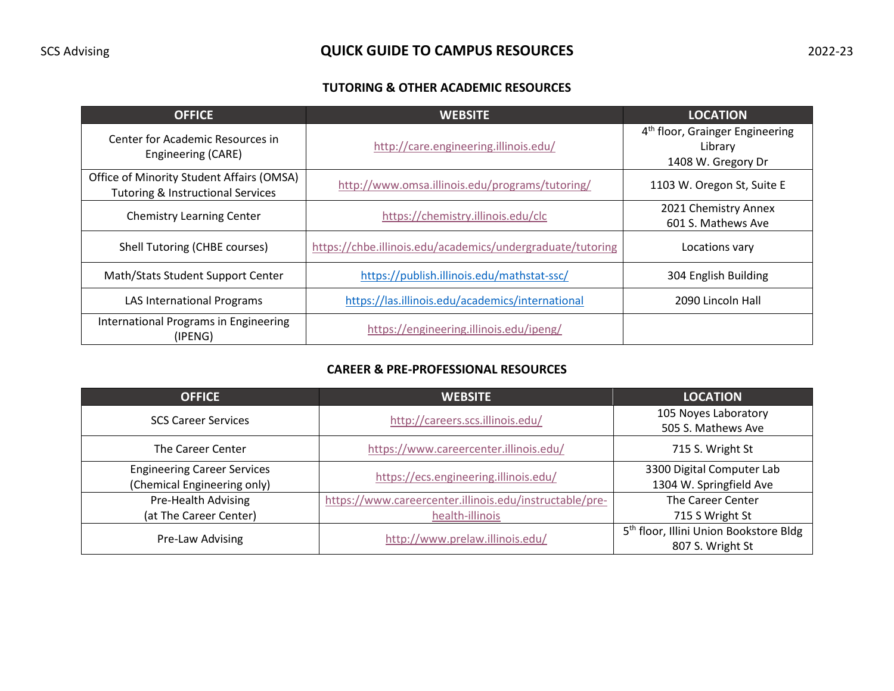# SCS Advising **QUICK GUIDE TO CAMPUS RESOURCES** 2022-23

## **TUTORING & OTHER ACADEMIC RESOURCES**

| <b>OFFICE</b>                                                                             | <b>WEBSITE</b>                                             | <b>LOCATION</b>                                                              |
|-------------------------------------------------------------------------------------------|------------------------------------------------------------|------------------------------------------------------------------------------|
| Center for Academic Resources in<br>Engineering (CARE)                                    | http://care.engineering.illinois.edu/                      | 4 <sup>th</sup> floor, Grainger Engineering<br>Library<br>1408 W. Gregory Dr |
| Office of Minority Student Affairs (OMSA)<br><b>Tutoring &amp; Instructional Services</b> | http://www.omsa.illinois.edu/programs/tutoring/            | 1103 W. Oregon St, Suite E                                                   |
| <b>Chemistry Learning Center</b>                                                          | https://chemistry.illinois.edu/clc                         | 2021 Chemistry Annex<br>601 S. Mathews Ave                                   |
| Shell Tutoring (CHBE courses)                                                             | https://chbe.illinois.edu/academics/undergraduate/tutoring | Locations vary                                                               |
| Math/Stats Student Support Center                                                         | https://publish.illinois.edu/mathstat-ssc/                 | 304 English Building                                                         |
| <b>LAS International Programs</b>                                                         | https://las.illinois.edu/academics/international           | 2090 Lincoln Hall                                                            |
| International Programs in Engineering<br>(IPENG)                                          | https://engineering.illinois.edu/ipeng/                    |                                                                              |

#### **CAREER & PRE-PROFESSIONAL RESOURCES**

| <b>OFFICE</b>                      | <b>WEBSITE</b>                                                 | <b>LOCATION</b>                                    |
|------------------------------------|----------------------------------------------------------------|----------------------------------------------------|
|                                    | http://careers.scs.illinois.edu/<br><b>SCS Career Services</b> | 105 Noyes Laboratory                               |
|                                    |                                                                | 505 S. Mathews Ave                                 |
| The Career Center                  | https://www.careercenter.illinois.edu/                         | 715 S. Wright St                                   |
| <b>Engineering Career Services</b> |                                                                | 3300 Digital Computer Lab                          |
| (Chemical Engineering only)        | https://ecs.engineering.illinois.edu/                          | 1304 W. Springfield Ave                            |
| Pre-Health Advising                | https://www.careercenter.illinois.edu/instructable/pre-        | The Career Center                                  |
| (at The Career Center)             | health-illinois                                                | 715 S Wright St                                    |
| Pre-Law Advising                   | http://www.prelaw.illinois.edu/                                | 5 <sup>th</sup> floor, Illini Union Bookstore Bldg |
|                                    |                                                                | 807 S. Wright St                                   |